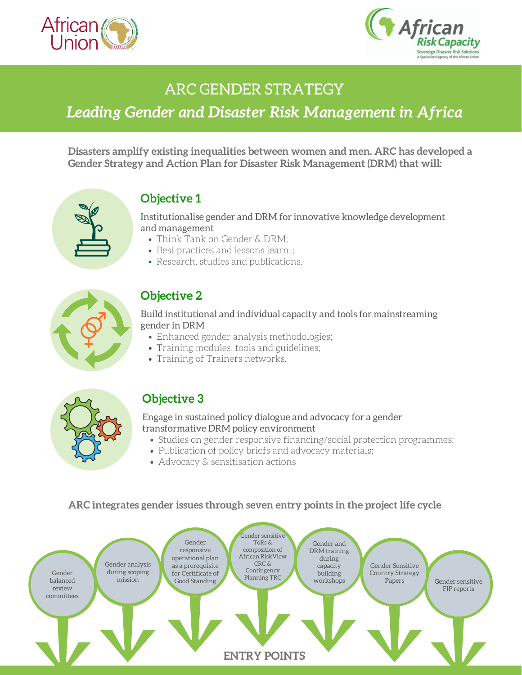



# ARC GENDER STRATEGY

# *Leading Gender and Disaster Risk Management in Africa*

**Disasters amplify existing inequalities between women and men. ARC has developed a Gender Strategy and Action Plan for Disaster Risk Management (DRM) that will:**



## **Objective 1**

Institutionalise gender and DRM for innovative knowledge development and management

- Think Tank on Gender & DRM;
- Best practices and lessons learnt;
- Research, studies and publications.



## **Objective 2**

#### Build institutional and individual capacity and tools for mainstreaming gender in DRM

- Enhanced gender analysis methodologies;
- Training modules, tools and guidelines;
- Training of Trainers networks.



## **Objective 3**

### Engage in sustained policy dialogue and advocacy for a gender transformative DRM policy environment

- Studies on gender responsive financing/social protection programmes;
- Publication of policy briefs and advocacy materials;
- Advocacy & sensitisation actions

#### **ARC integrates gender issues through seven entry points in the project life cycle**